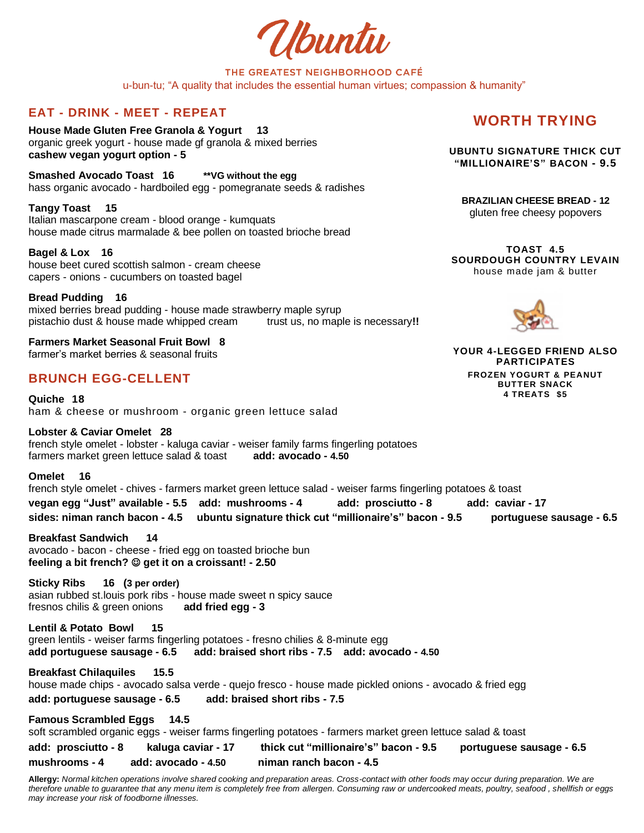Ubuntu

### THE GREATEST NEIGHBORHOOD CAFÉ u-bun-tu; "A quality that includes the essential human virtues; compassion & humanity"

## **EAT - DRINK - MEET - REPEAT**

**House Made Gluten Free Granola & Yogurt 13** organic greek yogurt - house made gf granola & mixed berries **cashew vegan yogurt option - 5**

**Smashed Avocado Toast 16 \*\*VG without the egg** hass organic avocado - hardboiled egg - pomegranate seeds & radishes

**Tangy Toast 15** Italian mascarpone cream - blood orange - kumquats house made citrus marmalade & bee pollen on toasted brioche bread

**Bagel & Lox 16** house beet cured scottish salmon - cream cheese capers - onions - cucumbers on toasted bagel

**Bread Pudding 16** mixed berries bread pudding - house made strawberry maple syrup pistachio dust & house made whipped cream trust us, no maple is necessary**!!**

**Farmers Market Seasonal Fruit Bowl 8** farmer's market berries & seasonal fruits

## **BRUNCH EGG-CELLENT**

**Quiche 18** ham & cheese or mushroom - organic green lettuce salad

**Lobster & Caviar Omelet 28** french style omelet - lobster - kaluga caviar - weiser family farms fingerling potatoes farmers market green lettuce salad & toast **add: avocado - 4.50**

**Omelet 16** french style omelet - chives - farmers market green lettuce salad - weiser farms fingerling potatoes & toast **vegan egg "Just" available - 5.5 add: mushrooms - 4 add: prosciutto - 8 add: caviar - 17 sides: niman ranch bacon - 4.5 ubuntu signature thick cut "millionaire's" bacon - 9.5 portuguese sausage - 6.5** 

**Breakfast Sandwich 14** avocado - bacon - cheese - fried egg on toasted brioche bun **feeling a bit french?** ☺ **get it on a croissant! - 2.50**

**Sticky Ribs 16 (3 per order)** asian rubbed st.louis pork ribs - house made sweet n spicy sauce fresnos chilis & green onions **add fried egg - 3**

**Lentil & Potato Bowl 15** green lentils - weiser farms fingerling potatoes - fresno chilies & 8-minute egg **add portuguese sausage - 6.5 add: braised short ribs - 7.5 add: avocado - 4.50**

**Breakfast Chilaquiles 15.5**  house made chips - avocado salsa verde - quejo fresco - house made pickled onions - avocado & fried egg **add: portuguese sausage - 6.5 add: braised short ribs - 7.5**

**Famous Scrambled Eggs 14.5** soft scrambled organic eggs - weiser farms fingerling potatoes - farmers market green lettuce salad & toast

**add: prosciutto - 8 kaluga caviar - 17 thick cut "millionaire's" bacon - 9.5 portuguese sausage - 6.5 mushrooms - 4 add: avocado - 4.50 niman ranch bacon - 4.5** 

**Allergy:** *Normal kitchen operations involve shared cooking and preparation areas. Cross-contact with other foods may occur during preparation. We are therefore unable to guarantee that any menu item is completely free from allergen. Consuming raw or undercooked meats, poultry, seafood , shellfish or eggs may increase your risk of foodborne illnesses.*

# **WORTH TRYING**

**UBUNTU SIGNATURE THICK CUT "MILLIONAIRE'S" BACON - 9.5**

**BRAZILIAN CHEESE BREAD - 12** gluten free cheesy popovers

**TOAST 4.5 SOURDOUGH COUNTRY LEVAIN** house made jam & butter



**YOUR 4-LEGGED FRIEND ALSO PARTICIPATES FROZEN YOGURT & PEANUT BUTTER SNACK 4 TREATS \$5**